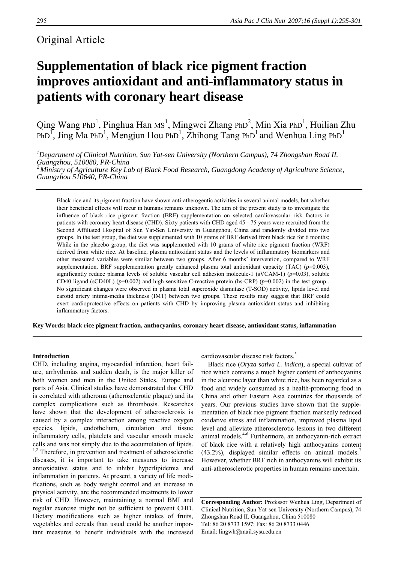## Original Article

# **Supplementation of black rice pigment fraction improves antioxidant and anti-inflammatory status in patients with coronary heart disease**

Qing Wang PhD<sup>1</sup>, Pinghua Han MS<sup>1</sup>, Mingwei Zhang PhD<sup>2</sup>, Min Xia PhD<sup>1</sup>, Huilian Zhu PhD<sup>1</sup>, Jing Ma PhD<sup>1</sup>, Mengjun Hou PhD<sup>1</sup>, Zhihong Tang PhD<sup>1</sup> and Wenhua Ling PhD<sup>1</sup>

*1 Department of Clinical Nutrition, Sun Yat-sen University (Northern Campus), 74 Zhongshan Road II. Guangzhou, 510080, PR-China 2 Ministry of Agriculture Key Lab of Black Food Research, Guangdong Academy of Agriculture Science, Guangzhou 510640, PR-China* 

Black rice and its pigment fraction have shown anti-atherogentic activities in several animal models, but whether their beneficial effects will recur in humans remains unknown. The aim of the present study is to investigate the influence of black rice pigment fraction (BRF) supplementation on selected cardiovascular risk factors in patients with coronary heart disease (CHD). Sixty patients with CHD aged 45 - 75 years were recruited from the Second Affiliated Hospital of Sun Yat-Sen University in Guangzhou, China and randomly divided into two groups. In the test group, the diet was supplemented with 10 grams of BRF derived from black rice for 6 months; While in the placebo group, the diet was supplemented with 10 grams of white rice pigment fraction (WRF) derived from white rice. At baseline, plasma antioxidant status and the levels of inflammatory biomarkers and other measured variables were similar between two groups. After 6 months' intervention, compared to WRF supplementation, BRF supplementation greatly enhanced plasma total antioxidant capacity (TAC)  $(p=0.003)$ , significantly reduce plasma levels of soluble vascular cell adhesion molecule-1 (sVCAM-1) (*p*=0.03), soluble CD40 ligand (sCD40L) ( $p=0.002$ ) and high sensitive C-reactive protein (hs-CRP) ( $p=0.002$ ) in the test group. No significant changes were observed in plasma total superoxide dismutase (T-SOD) activity, lipids level and carotid artery intima-media thickness (IMT) between two groups. These results may suggest that BRF could exert cardioprotective effects on patients with CHD by improving plasma antioxidant status and inhibiting inflammatory factors.

**Key Words: black rice pigment fraction, anthocyanins, coronary heart disease, antioxidant status, inflammation** 

## **Introduction**

CHD, including angina, myocardial infarction, heart failure, arrhythmias and sudden death, is the major killer of both women and men in the United States, Europe and parts of Asia. Clinical studies have demonstrated that CHD is correlated with atheroma (atherosclerotic plaque) and its complex complications such as thrombosis. Researches have shown that the development of atherosclerosis is caused by a complex interaction among reactive oxygen species, lipids, endothelium, circulation and tissue inflammatory cells, platelets and vascular smooth muscle cells and was not simply due to the accumulation of lipids.  $1,2$  Therefore, in prevention and treatment of atherosclerotic diseases, it is important to take measures to increase antioxidative status and to inhibit hyperlipidemia and inflammation in patients. At present, a variety of life modifications, such as body weight control and an increase in physical activity, are the recommended treatments to lower risk of CHD. However, maintaining a normal BMI and regular exercise might not be sufficient to prevent CHD. Dietary modifications such as higher intakes of fruits, vegetables and cereals than usual could be another important measures to benefit individuals with the increased

cardiovascular disease risk factors.<sup>3</sup>

Black rice (*Oryza sativa L. indica*), a special cultivar of rice which contains a much higher content of anthocyanins in the aleurone layer than white rice, has been regarded as a food and widely consumed as a health-promoting food in China and other Eastern Asia countries for thousands of years. Our previous studies have shown that the supplementation of black rice pigment fraction markedly reduced oxidative stress and inflammation, improved plasma lipid level and alleviate atherosclerotic lesions in two different animal models.4-6 Furthermore, an anthocyanin-rich extract of black rice with a relatively high anthocyanins content  $(43.2\%)$ , displayed similar effects on animal models.<sup>7</sup> However, whether BRF rich in anthocyanins will exhibit its anti-atherosclerotic properties in human remains uncertain.

**Corresponding Author:** Professor Wenhua Ling, Department of Clinical Nutrition, Sun Yat-sen University (Northern Campus), 74 Zhongshan Road II. Guangzhou, China 510080 Tel: 86 20 8733 1597; Fax: 86 20 8733 0446 Email: lingwh@mail.sysu.edu.cn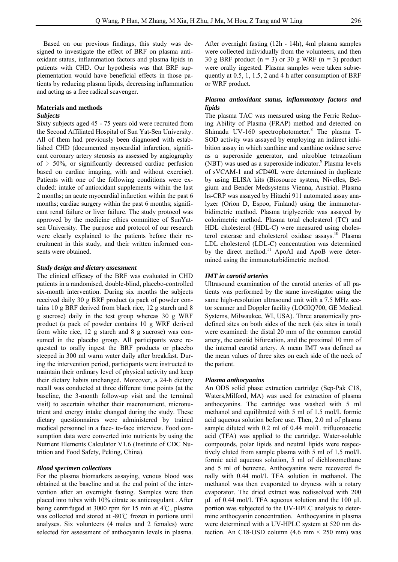Based on our previous findings, this study was designed to investigate the effect of BRF on plasma antioxidant status, inflammation factors and plasma lipids in patients with CHD. Our hypothesis was that BRF supplementation would have beneficial effects in those patients by reducing plasma lipids, decreasing inflammation and acting as a free radical scavenger.

### **Materials and methods**

## *Subjects*

Sixty subjects aged 45 - 75 years old were recruited from the Second Affiliated Hospital of Sun Yat-Sen University. All of them had previously been diagnosed with established CHD (documented myocardial infarction, significant coronary artery stenosis as assessed by angiography of  $>$  50%, or significantly decreased cardiac perfusion based on cardiac imaging, with and without exercise). Patients with one of the following conditions were excluded: intake of antioxidant supplements within the last 2 months; an acute myocardial infarction within the past 6 months; cardiac surgery within the past 6 months; significant renal failure or liver failure. The study protocol was approved by the medicine ethics committee of SunYatsen University. The purpose and protocol of our research were clearly explained to the patients before their recruitment in this study, and their written informed consents were obtained.

## *Study design and dietary assessment*

The clinical efficacy of the BRF was evaluated in CHD patients in a randomised, double-blind, placebo-controlled six-month intervention. During six months the subjects received daily 30 g BRF product (a pack of powder contains 10 g BRF derived from black rice, 12 g starch and 8 g sucrose) daily in the test group whereas 30 g WRF product (a pack of powder contains 10 g WRF derived from white rice, 12 g starch and 8 g sucrose) was consumed in the placebo group. All participants were requested to orally ingest the BRF products or placebo steeped in 300 ml warm water daily after breakfast. During the intervention period, participants were instructed to maintain their ordinary level of physical activity and keep their dietary habits unchanged. Moreover, a 24-h dietary recall was conducted at three different time points (at the baseline, the 3-month follow-up visit and the terminal visit) to ascertain whether their macronutrient, micronutrient and energy intake changed during the study. These dietary questionnaires were administered by trained medical personnel in a face- to-face interview. Food consumption data were converted into nutrients by using the Nutrient Elements Calculator V1.6 (Institute of CDC Nutrition and Food Safety, Peking, China).

## *Blood specimen collections*

For the plasma biomarkers assaying, venous blood was obtained at the baseline and at the end point of the intervention after an overnight fasting. Samples were then placed into tubes with 10% citrate as anticoagulant . After being centrifuged at 3000 rpm for 15 min at  $4^{\circ}$ C, plasma was collected and stored at -80℃ frozen in portions until analyses. Six volunteers (4 males and 2 females) were selected for assessment of anthocyanin levels in plasma.

After overnight fasting (12h - 14h), 4ml plasma samples were collected individually from the volunteers, and then 30 g BRF product  $(n = 3)$  or 30 g WRF  $(n = 3)$  product were orally ingested. Plasma samples were taken subsequently at 0.5, 1, 1.5, 2 and 4 h after consumption of BRF or WRF product.

## *Plasma antioxidant status, inflammatory factors and lipids*

The plasma TAC was measured using the Ferric Reducing Ability of Plasma (FRAP) method and detected on Shimadu UV-160 spectrophotometer.<sup>8</sup> The plasma T-SOD activity was assayed by employing an indirect inhibition assay in which xanthine and xanthine oxidase serve as a superoxide generator, and nitroblue tetrazolium (NBT) was used as a superoxide indicator.<sup>9</sup> Plasma levels of sVCAM-1 and sCD40L were determined in duplicate by using ELISA kits (Biosource system, Nivelles, Belgium and Bender Medsystems Vienna, Austria). Plasma hs-CRP was assayed by Hitachi 911 automated assay analyzer (Orion D, Espoo, Finland) using the immunoturbidimetric method. Plasma triglyceride was assayed by colorimetric method. Plasma total cholesterol (TC) and HDL cholesterol (HDL-C) were measured using cholesterol esterase and cholesterol oxidase assays.<sup>10</sup> Plasma LDL cholesterol (LDL-C) concentration was determined by the direct method.<sup>11</sup> ApoAI and ApoB were determined using the immunoturbidimetric method.

## *IMT in carotid arteries*

Ultrasound examination of the carotid arteries of all patients was performed by the same investigator using the same high-resolution ultrasound unit with a 7.5 MHz sector scanner and Doppler facility (LOGIQ700, GE Medical. Systems, Milwaukee, WI, USA). Three anatomically predefined sites on both sides of the neck (six sites in total) were examined: the distal 20 mm of the common carotid artery, the carotid bifurcation, and the proximal 10 mm of the internal carotid artery. A mean IMT was defined as the mean values of three sites on each side of the neck of the patient.

## *Plasma anthocyanins*

An ODS solid phase extraction cartridge (Sep-Pak C18, Waters,Milford, MA) was used for extraction of plasma anthocyanins. The cartridge was washed with 5 ml methanol and equilibrated with 5 ml of 1.5 mol/L formic acid aqueous solution before use. Then, 2.0 ml of plasma sample diluted with 0.2 ml of 0.44 mol/L trifluoroacetic acid (TFA) was applied to the cartridge. Water-soluble compounds, polar lipids and neutral lipids were respectively eluted from sample plasma with 5 ml of 1.5 mol/L formic acid aqueous solution, 5 ml of dichloromethane and 5 ml of benzene. Anthocyanins were recovered finally with 0.44 mol/L TFA solution in methanol. The methanol was then evaporated to dryness with a rotary evaporator. The dried extract was redissolved with 200 μL of 0.44 mol/L TFA aqueous solution and the 100 μL portion was subjected to the UV-HPLC analysis to determine anthocyanin concentration. Anthocyanins in plasma were determined with a UV-HPLC system at 520 nm detection. An C18-OSD column (4.6 mm  $\times$  250 mm) was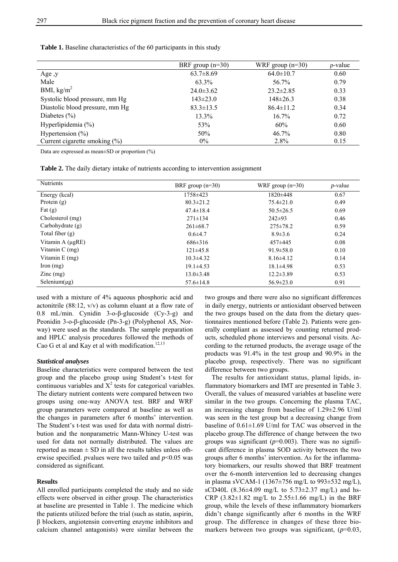|                                   | BRF group $(n=30)$ | WRF group $(n=30)$ | $p$ -value |
|-----------------------------------|--------------------|--------------------|------------|
| Age, y                            | $63.7 \pm 8.69$    | $64.0 \pm 10.7$    | 0.60       |
| Male                              | 63.3%              | 56.7%              | 0.79       |
| BMI, $\text{kg/m}^2$              | $24.0 \pm 3.62$    | $23.2 \pm 2.85$    | 0.33       |
| Systolic blood pressure, mm Hg    | $143 \pm 23.0$     | $148 \pm 26.3$     | 0.38       |
| Diastolic blood pressure, mm Hg   | $83.3 \pm 13.5$    | $86.4 \pm 11.2$    | 0.34       |
| Diabetes $(\% )$                  | 13.3%              | $16.7\%$           | 0.72       |
| Hyperlipidemia $(\% )$            | 53%                | 60%                | 0.60       |
| Hypertension $(\% )$              | 50%                | $46.7\%$           | 0.80       |
| Current cigarette smoking $(\% )$ | $0\%$              | 2.8%               | 0.15       |

**Table 1.** Baseline characteristics of the 60 participants in this study

Data are expressed as mean±SD or proportion (%)

**Table 2.** The daily dietary intake of nutrients according to intervention assignment

| <b>Nutrients</b>     | BRF group $(n=30)$<br>WRF group $(n=30)$ |                 | $p$ -value |
|----------------------|------------------------------------------|-----------------|------------|
| Energy (kcal)        | 1758±423                                 | $1820 \pm 448$  | 0.67       |
| Protein $(g)$        | $80.3 \pm 21.2$                          | $75.4 \pm 21.0$ | 0.49       |
| Fat $(g)$            | $47.4 \pm 18.4$                          | $50.5 \pm 26.5$ | 0.69       |
| Cholesterol (mg)     | $271 \pm 134$                            | $242\pm93$      | 0.46       |
| Carbohydrate $(g)$   | $261\pm68.7$                             | $275 \pm 78.2$  | 0.59       |
| Total fiber $(g)$    | $0.6{\pm}4.7$                            | $8.9 \pm 3.6$   | 0.24       |
| Vitamin A (ugRE)     | $686\pm316$                              | 457±445         | 0.08       |
| Vitamin $C$ (mg)     | $121\pm 45.8$                            | $91.9 \pm 58.0$ | 0.10       |
| Vitamin $E$ (mg)     | $10.3\pm4.32$                            | $8.16\pm4.12$   | 0.14       |
| $\Gamma$ Iron $(mg)$ | $19.1\pm4.53$                            | $18.1 \pm 4.98$ | 0.53       |
| $\text{Zinc}$ (mg)   | $13.0 \pm 3.48$                          | $12.2 \pm 3.89$ | 0.53       |
| Selenium $(\mu g)$   | $57.6 \pm 14.8$                          | $56.9 \pm 23.0$ | 0.91       |

used with a mixture of 4% aqueous phosphoric acid and actonitrile (88:12, v/v) as column eluant at a flow rate of 0.8 mL/min. Cynidin 3-ο-β-glucoside (Cy-3-g) and Peonidin 3-ο-β-glucoside (Pn-3-g) (Polyphenol AS, Norway) were used as the standards. The sample preparation and HPLC analysis procedures followed the methods of Cao G et al and Kay et al with modification.<sup>12,13</sup>

## *Statistical analyses*

Baseline characteristics were compared between the test group and the placebo group using Student's t-test for continuous variables and  $X^2$  tests for categorical variables. The dietary nutrient contents were compared between two groups using one-way ANOVA test. BRF and WRF group parameters were compared at baseline as well as the changes in parameters after 6 months' intervention. The Student's t-test was used for data with normal distribution and the nonparametric Mann-Whiney U-test was used for data not normally distributed. The values are reported as mean  $\pm$  SD in all the results tables unless otherwise specified. *p*values were two tailed and *p*<0.05 was considered as significant.

## **Results**

All enrolled participants completed the study and no side effects were observed in either group. The characteristics at baseline are presented in Table 1. The medicine which the patients utilized before the trial (such as statin, aspirin, β blockers, angiotensin converting enzyme inhibitors and calcium channel antagonists) were similar between the

two groups and there were also no significant differences in daily energy, nutrients or antioxidant observed between the two groups based on the data from the dietary questionnaires mentioned before (Table 2). Patients were generally compliant as assessed by counting returned products, scheduled phone interviews and personal visits. According to the returned products, the average usage of the products was 91.4% in the test group and 90.9% in the placebo group, respectively. There was no significant difference between two groups.

The results for antioxidant status, plamal lipids, inflammatory biomarkers and IMT are presented in Table 3. Overall, the values of measured variables at baseline were similar in the two groups. Concerning the plasma TAC, an increasing change from baseline of 1.29±2.96 U/ml was seen in the test group but a decreasing change from baseline of 0.61±1.69 U/ml for TAC was observed in the placebo group.The difference of change between the two groups was significant  $(p=0.003)$ . There was no significant difference in plasma SOD activity between the two groups after 6 months' intervention. As for the inflammatory biomarkers, our results showed that BRF treatment over the 6-month intervention led to decreasing changes in plasma sVCAM-1 (1367±756 mg/L to 993±532 mg/L), sCD40L (8.36 $\pm$ 4.09 mg/L to 5.73 $\pm$ 2.37 mg/L) and hs-CRP  $(3.82 \pm 1.82 \text{ mg/L}$  to  $2.55 \pm 1.66 \text{ mg/L})$  in the BRF group, while the levels of these inflammatory biomarkers didn't change significantly after 6 months in the WRF group. The difference in changes of these three biomarkers between two groups was significant, (*p*=0.03,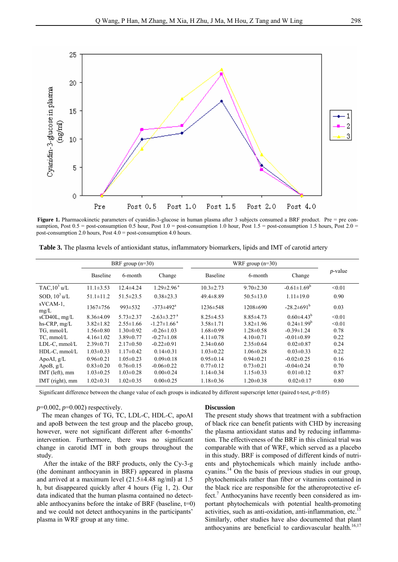

**Figure 1.** Pharmacokinetic parameters of cyanidin-3-glucose in human plasma after 3 subjects consumed a BRF product. Pre = pre consumption, Post  $0.5 =$  post-consumption 0.5 hour, Post  $1.0 =$  post-consumption 1.0 hour, Post  $1.5 =$  post-consumption 1.5 hours, Post  $2.0 =$ post-consumption 2.0 hours, Post 4.0 = post-consumption 4.0 hours.

**Table 3.** The plasma levels of antioxidant status, inflammatory biomarkers, lipids and IMT of carotid artery

|                     | BRF group $(n=30)$ |                 |                               | WRF group $(n=30)$ |                 |                         |            |
|---------------------|--------------------|-----------------|-------------------------------|--------------------|-----------------|-------------------------|------------|
|                     | Baseline           | 6-month         | Change                        | <b>Baseline</b>    | 6-month         | Change                  | $p$ -value |
| TAC, $10^3$ u/L     | $11.1 \pm 3.53$    | $12.4 \pm 4.24$ | $1.29 \pm 2.96$ <sup>a</sup>  | $10.3 \pm 2.73$    | $9.70 \pm 2.30$ | $-0.61 \pm 1.69^b$      | < 0.01     |
| SOD, $10^3$ u/L     | $51.1 \pm 11.2$    | $51.5 \pm 23.5$ | $0.38 \pm 23.3$               | $49.4 \pm 8.89$    | $50.5 \pm 13.0$ | $1.11 \pm 19.0$         | 0.90       |
| sVCAM-1.<br>mg/L    | 1367±756           | $993 \pm 532$   | $-373 \pm 492$ <sup>a</sup>   | $1236 \pm 548$     | 1208±690        | $-28.2 \pm 691^{\circ}$ | 0.03       |
| $sCD40L$ , mg/L     | $8.36\pm4.09$      | $5.73 \pm 2.37$ | $-2.63 \pm 3.27$ <sup>a</sup> | $8.25 \pm 4.53$    | $8.85 \pm 4.73$ | $0.60\pm4.43^{b}$       | < 0.01     |
| hs-CRP, mg/L        | $3.82 \pm 1.82$    | $2.55 \pm 1.66$ | $-1.27 \pm 1.66$ <sup>a</sup> | $3.58 \pm 1.71$    | $3.82 \pm 1.96$ | $0.24 \pm 1.99^b$       | < 0.01     |
| $TG$ , mmol/L       | $1.56 \pm 0.80$    | $1.30 \pm 0.92$ | $-0.26 \pm 1.03$              | $1.68 \pm 0.99$    | $1.28 \pm 0.58$ | $-0.39 \pm 1.24$        | 0.78       |
| TC, mmol/L          | $4.16 \pm 1.02$    | $3.89 \pm 0.77$ | $-0.27 \pm 1.08$              | $4.11 \pm 0.78$    | $4.10 \pm 0.71$ | $-0.01 \pm 0.89$        | 0.22       |
| $LDL-C$ , mmol/ $L$ | $2.39 \pm 0.71$    | $2.17\pm0.50$   | $-0.22 \pm 0.91$              | $2.34\pm0.60$      | $2.35 \pm 0.64$ | $0.02 \pm 0.87$         | 0.24       |
| $HDL-C$ , mmol/L    | $1.03 \pm 0.33$    | $1.17\pm0.42$   | $0.14 \pm 0.31$               | $1.03 \pm 0.22$    | $1.06 \pm 0.28$ | $0.03 \pm 0.33$         | 0.22       |
| ApoAI, $g/L$        | $0.96 \pm 0.21$    | $1.05 \pm 0.23$ | $0.09 \pm 0.18$               | $0.95 \pm 0.14$    | $0.94\pm0.21$   | $-0.02 \pm 0.25$        | 0.16       |
| ApoB, $g/L$         | $0.83 \pm 0.20$    | $0.76 \pm 0.15$ | $-0.06 \pm 0.22$              | $0.77 \pm 0.12$    | $0.73 \pm 0.21$ | $-0.04\pm0.24$          | 0.70       |
| IMT (left), mm      | $1.03 \pm 0.25$    | $1.03 \pm 0.28$ | $0.00 \pm 0.24$               | $1.14\pm0.34$      | $1.15 \pm 0.33$ | $0.01 \pm 0.12$         | 0.87       |
| IMT (right), mm     | $1.02 \pm 0.31$    | $1.02 \pm 0.35$ | $0.00 \pm 0.25$               | $1.18 \pm 0.36$    | $1.20 \pm 0.38$ | $0.02 \pm 0.17$         | 0.80       |

Significant difference between the change value of each groups is indicated by different superscript letter (paired t-test,  $p<0.05$ )

*p*=0.002, *p*=0.002) respectively.

 The mean changes of TG, TC, LDL-C, HDL-C, apoAI and apoB between the test group and the placebo group, however, were not significant different after 6-months' intervention. Furthermore, there was no significant change in carotid IMT in both groups throughout the study.

After the intake of the BRF products, only the Cy-3-g (the dominant anthocyanin in BRF) appeared in plasma and arrived at a maximum level (21.5±4.48 ng/ml) at 1.5 h, but disappeared quickly after 4 hours (Fig 1, 2). Our data indicated that the human plasma contained no detectable anthocyanins before the intake of BRF (baseline,  $t=0$ ) and we could not detect anthocyanins in the participants' plasma in WRF group at any time.

### **Discussion**

The present study shows that treatment with a subfraction of black rice can benefit patients with CHD by increasing the plasma antioxidant status and by reducing inflammation. The effectiveness of the BRF in this clinical trial was comparable with that of WRF, which served as a placebo in this study. BRF is composed of different kinds of nutrients and phytochemicals which mainly include anthocyanins.14 On the basis of previous studies in our group, phytochemicals rather than fiber or vitamins contained in the black rice are responsible for the atheroprotective effect.<sup>7</sup> Anthocyanins have recently been considered as important phytochemicals with potential health-promoting activities, such as anti-oxidation, anti-inflammation, etc.<sup>15</sup> Similarly, other studies have also documented that plant anthocyanins are beneficial to cardiovascular health.<sup>16,17</sup>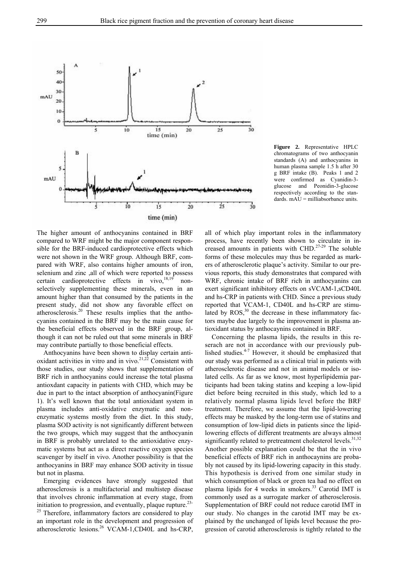

**Figure 2.** Representative HPLC chromatograms of two anthocyanin standards (A) and anthocyanins in human plasma sample 1.5 h after 30 g BRF intake (B). Peaks 1 and 2 were confirmed as Cyanidin-3 glucose and Peonidin-3-glucose respectively according to the standards. mAU = milliabsorbance units.

The higher amount of anthocyanins contained in BRF compared to WRF might be the major component responsible for the BRF-induced cardioprotective effects which were not shown in the WRF group. Although BRF, compared with WRF, also contains higher amounts of iron, selenium and zinc ,all of which were reported to possess certain cardioprotective effects in vivo, $18,19$  nonselectively supplementing these minerals, even in an amount higher than that consumed by the patients in the present study, did not show any favorable effect on atherosclerosis.20 These results implies that the anthocyanins contained in the BRF may be the main cause for the beneficial effects observed in the BRF group, although it can not be ruled out that some minerals in BRF may contribute partially to those beneficial effects.

Anthocyanins have been shown to display certain antioxidant activities in vitro and in vivo.<sup>21,22</sup> Consistent with those studies, our study shows that supplementation of BRF rich in anthocyanins could increase the total plasma antioxdant capacity in patients with CHD, which may be due in part to the intact absorption of anthocyanin(Figure 1). It's well known that the total antioxidant system in plasma includes anti-oxidative enzymatic and nonenzymatic systems mostly from the diet. In this study, plasma SOD activity is not significantly different between the two groups, which may suggest that the anthocyanin in BRF is probably unrelated to the antioxidative enzymatic systems but act as a direct reactive oxygen species scavenger by itself in vivo. Another possibility is that the anthocyanins in BRF may enhance SOD activity in tissue but not in plasma.

Emerging evidences have strongly suggested that atherosclerosis is a multifactorial and multistep disease that involves chronic inflammation at every stage, from initiation to progression, and eventually, plaque rupture. $23$ -<sup>25</sup> Therefore, inflammatory factors are considered to play an important role in the development and progression of atherosclerotic lesions.26 VCAM-1,CD40L and hs-CRP,

all of which play important roles in the inflammatory process, have recently been shown to circulate in increased amounts in patients with CHD.<sup>27-29</sup> The soluble forms of these molecules may thus be regarded as markers of atherosclerotic plaque's activity. Similar to our previous reports, this study demonstrates that compared with WRF, chronic intake of BRF rich in anthocyanins can exert significant inhibitory effects on sVCAM-1,sCD40L and hs-CRP in patients with CHD. Since a previous study reported that VCAM-1, CD40L and hs-CRP are stimulated by  $ROS<sub>1</sub><sup>30</sup>$  the decrease in these inflammatory factors maybe due largely to the improvement in plasma antioxidant status by anthocaynins contained in BRF.

Concerning the plasma lipids, the results in this reserach are not in accordance with our previously published studies. $4-7$  However, it should be emphasized that our study was performed as a clinical trial in patients with atherosclerotic disease and not in animal models or isolated cells. As far as we know, most hyperlipidemia participants had been taking statins and keeping a low-lipid diet before being recruited in this study, which led to a relatively normal plasma lipids level before the BRF treatment. Therefore, we assume that the lipid-lowering effects may be masked by the long-term use of statins and consumption of low-lipid diets in patients since the lipidlowering effects of different treatments are always almost significantly related to pretreatment cholesterol levels. $31,32$ Another possible explanation could be that the in vivo beneficial effects of BRF rich in anthocaynins are probably not caused by its lipid-lowering capacity in this study. This hypothesis is derived from one similar study in which consumption of black or green tea had no effect on plasma lipids for 4 weeks in smokers.<sup>33</sup> Carotid IMT is commonly used as a surrogate marker of atherosclerosis. Supplementation of BRF could not reduce carotid IMT in our study. No changes in the carotid IMT may be explained by the unchanged of lipids level because the progression of carotid atherosclerosis is tightly related to the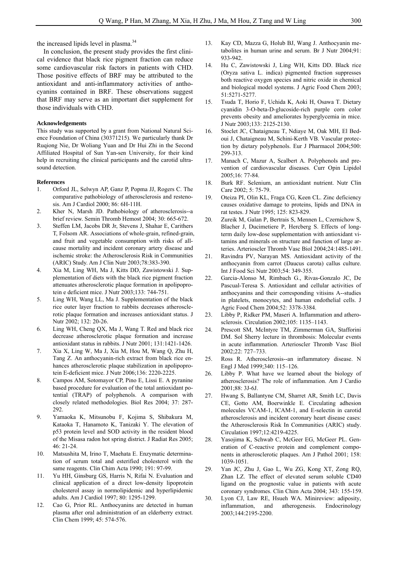the increased lipids level in plasma.<sup>34</sup>

In conclusion, the present study provides the first clinical evidence that black rice pigment fraction can reduce some cardiovascular risk factors in patients with CHD. Those positive effects of BRF may be attributed to the antioxidant and anti-inflammatory activities of anthocyanins contained in BRF. These observations suggest that BRF may serve as an important diet supplement for those individuals with CHD.

## **Acknowledgements**

This study was supported by a grant from National Natural Science Foundation of China (30371215). We particularly thank Dr Ruqiong Nie, Dr Woliang Yuan and Dr Hui Zhi in the Second Affiliated Hospital of Sun Yan-sen University, for their kind help in recruiting the clinical participants and the carotid ultrasound detection.

### **References**

- 1. Orford JL, Selwyn AP, Ganz P, Popma JJ, Rogers C. The comparative pathobiology of atherosclerosis and restenosis. Am J Cardiol 2000; 86: 6H-11H.
- 2. Kher N, Marsh JD. Pathobiology of atherosclerosis--a brief review. Semin Thromb Hemost 2004; 30: 665-672.
- 3. Steffen LM, Jacobs DR Jr, Stevens J, Shahar E, Carithers T, Folsom AR. Associations of whole-grain, refined-grain, and fruit and vegetable consumption with risks of allcause mortality and incident coronary artery disease and ischemic stroke: the Atherosclerosis Risk in Communities (ARIC) Study. Am J Clin Nutr 2003;78:383-390.
- 4. Xia M, Ling WH, Ma J, Kitts DD, Zawistowski J. Supplementation of diets with the black rice pigment fraction attenuates atherosclerotic plaque formation in apolipoprotein e deficient mice. J Nutr 2003;133: 744-751.
- 5. Ling WH, Wang LL, Ma J. Supplementation of the black rice outer layer fraction to rabbits decreases atherosclerotic plaque formation and increases antioxidant status. J Nutr 2002; 132: 20-26.
- 6. Ling WH, Cheng QX, Ma J, Wang T. Red and black rice decrease atherosclerotic plaque formation and increase antioxidant status in rabbits. J Nutr 2001; 131:1421-1426.
- 7. Xia X, Ling W, Ma J, Xia M, Hou M, Wang Q, Zhu H, Tang Z. An anthocyanin-rich extract from black rice enhances atherosclerotic plaque stabilization in apolipoprotein E-deficient mice. J Nutr 2006;136: 2220-2225.
- 8. Campos AM, Sotomayor CP, Pino E, Lissi E. A pyranine based procedure for evaluation of the total antioxidant potential (TRAP) of polyphenols. A comparison with closely related methodologies. Biol Res 2004; 37: 287- 292.
- 9. Yamaoka K, Mitsunobu F, Kojima S, Shibakura M, Kataoka T, Hanamoto K, Tanizaki Y. The elevation of p53 protein level and SOD activity in the resident blood of the Misasa radon hot spring district. J Radiat Res 2005; 46: 21-24.
- 10. Matsushita M, Irino T, Maehata E. Enzymatic determination of serum total and esterified cholesterol with the same reagents. Clin Chim Acta 1990; 191: 97-99.
- 11. Yu HH, Ginsburg GS, Harris N, Rifai N. Evaluation and clinical application of a direct low-density lipoprotein cholesterol assay in normolipidemic and hyperlipidemic adults. Am J Cardiol 1997; 80: 1295-1299.
- 12. Cao G, Prior RL. Anthocyanins are detected in human plasma after oral administration of an elderberry extract. Clin Chem 1999; 45: 574-576.
- 13. Kay CD, Mazza G, Holub BJ, Wang J. Anthocyanin metabolites in human urine and serum. Br J Nutr 2004;91: 933-942.
- 14. Hu C, Zawistowski J, Ling WH, Kitts DD. Black rice (Oryza sativa L. indica) pigmented fraction suppresses both reactive oxygen species and nitric oxide in chemical and biological model systems. J Agric Food Chem 2003; 51:5271-5277.
- 15. Tsuda T, Horio F, Uchida K, Aoki H, Osawa T. Dietary cyanidin 3-O-beta-D-glucoside-rich purple corn color prevents obesity and ameliorates hyperglycemia in mice. J Nutr 2003;133: 2125-2130.
- 16. Stoclet JC, Chataigneau T, Ndiaye M, Oak MH, El Bedoui J, Chataigneau M, Schini-Kerth VB. Vascular protection by dietary polyphenols. Eur J Pharmacol 2004;500: 299-313.
- 17. Manach C, Mazur A, Scalbert A. Polyphenols and prevention of cardiovascular diseases. Curr Opin Lipidol 2005;16: 77-84.
- 18. Burk RF. Selenium, an antioxidant nutrient. Nutr Clin Care 2002; 5: 75-79.
- 19. Oteiza PI, Olin KL, Fraga CG, Keen CL. Zinc deficiency causes oxidative damage to proteins, lipids and DNA in rat testes. J Nutr 1995; 125: 823-829.
- 20. Zureik M, Galan P, Bertrais S, Mennen L, Czernichow S, Blacher J, Ducimetiere P, Hercberg S. Effects of longterm daily low-dose supplementation with antioxidant vitamins and minerals on structure and function of large arteries. Arterioscler Thromb Vasc Biol 2004;24:1485-1491.
- 21. Ravindra PV, Narayan MS. Antioxidant activity of the anthocyanin from carrot (Daucus carota) callus culture. Int J Food Sci Nutr 2003;54: 349-355.
- 22. Garcia-Alonso M, Rimbach G., Rivas-Gonzalo JC, De Pascual-Teresa S. Antioxidant and cellular activities of anthocyanins and their corresponding vitisins A--studies in platelets, monocytes, and human endothelial cells. J Agric Food Chem 2004;52: 3378-3384.
- 23. Libby P, Ridker PM, Maseri A. Inflammation and atherosclerosis. Circulation 2002;105: 1135–1143.
- 24. Prescott SM, McIntyre TM, Zimmerman GA, Stafforini DM. Sol Sherry lecture in thrombosis: Molecular events in acute inflammation. Arterioscler Thromb Vasc Biol 2002;22: 727–733.
- 25. Ross R. Atherosclerosis--an inflammatory disease. N Engl J Med 1999;340: 115–126.
- 26. Libby P. What have we learned about the biology of atherosclerosis? The role of inflammation. Am J Cardio 2001;88: 3J-6J.
- 27. Hwang S, Ballantyne CM, Sharret AR, Smith LC, Davis CE, Gotto AM, Boerwinkle E. Circulating adhesion molecules VCAM-1, ICAM-1, and E-selectin in carotid atherosclerosis and incident coronary heart disease cases: the Atherosclerosis Risk In Communities (ARIC) study. Circulation 1997;12:4219-4225.
- 28. Yasojima K, Schwab C, McGeer EG, McGeer PL. Generation of C-reactive protein and complement components in atherosclerotic plaques. Am J Pathol 2001; 158: 1039-1051.
- 29. Yan JC, Zhu J, Gao L, Wu ZG, Kong XT, Zong RQ, Zhan LZ. The effect of elevated serum soluble CD40 ligand on the prognostic value in patients with acute coronary syndromes. Clin Chim Acta 2004; 343: 155-159.
- 30. Lyon CJ, Law RE, Hsueh WA. Minireview: adiposity, inflammation, and atherogenesis. Endocrinology 2003;144:2195-2200.